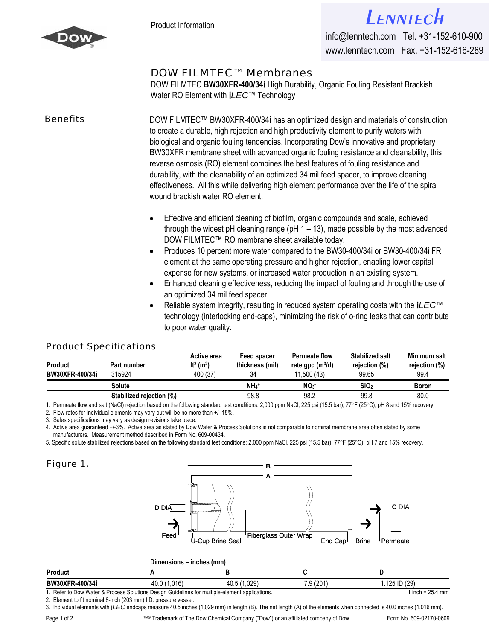Product Information



info@lenntech.com Tel. +31-152-610-900 www.lenntech.com Fax. +31-152-616-289

## [DOW FILMTEC™ Membranes](http://www.lenntech.com/feedback/feedback_uk.htm?ref_title=Filmtec/Dow-Filmtec-BW30XFR-400-34i.pdf)

DOW FILMTEC **BW30XFR-400/34***i* High Durability, Organic Fouling Resistant Brackish Water RO Element with *iLEC*™ Technology

Benefits DOW FILMTEC™ BW30XFR-400/34*i* has an optimized design and materials of construction to create a durable, high rejection and high productivity element to purify waters with biological and organic fouling tendencies. Incorporating Dow's innovative and proprietary BW30XFR membrane sheet with advanced organic fouling resistance and cleanability, this reverse osmosis (RO) element combines the best features of fouling resistance and durability, with the cleanability of an optimized 34 mil feed spacer, to improve cleaning effectiveness. All this while delivering high element performance over the life of the spiral wound brackish water RO element.

- Effective and efficient cleaning of biofilm, organic compounds and scale, achieved through the widest pH cleaning range (pH  $1 - 13$ ), made possible by the most advanced DOW FILMTEC™ RO membrane sheet available today.
- Produces 10 percent more water compared to the BW30-400/34i or BW30-400/34i FR element at the same operating pressure and higher rejection, enabling lower capital expense for new systems, or increased water production in an existing system.
- Enhanced cleaning effectiveness, reducing the impact of fouling and through the use of an optimized 34 mil feed spacer.
- Reliable system integrity, resulting in reduced system operating costs with the *iLEC*™ technology (interlocking end-caps), minimizing the risk of o-ring leaks that can contribute to poor water quality.

## Product Specifications

|                 |                          | <b>Active area</b><br>ft <sup>2</sup> (m <sup>2</sup> ) | <b>Feed spacer</b> | <b>Permeate flow</b>           | <b>Stabilized salt</b> | Minimum salt  |
|-----------------|--------------------------|---------------------------------------------------------|--------------------|--------------------------------|------------------------|---------------|
| Product         | Part number              |                                                         | thickness (mil)    | rate $qpd$ (m <sup>3</sup> /d) | rejection (%)          | rejection (%) |
| BW30XFR-400/34/ | 315924                   | 400 (37)                                                | 34                 | 11.500 (43)                    | 99.65                  | 99.4          |
|                 | Solute                   |                                                         | NH <sub>4</sub> +  | NO <sub>3</sub>                | SiO <sub>2</sub>       | <b>Boron</b>  |
|                 | Stabilized rejection (%) |                                                         | 98.8               | 98.2                           | 99.8                   | 80.0          |
|                 |                          |                                                         | - - - -            |                                |                        |               |

1. Permeate flow and salt (NaCl) rejection based on the following standard test conditions: 2,000 ppm NaCl, 225 psi (15.5 bar), 77°F (25°C), pH 8 and 15% recovery.

2. Flow rates for individual elements may vary but will be no more than +/- 15%.

3. Sales specifications may vary as design revisions take place.

4. Active area guaranteed +/-3%. Active area as stated by Dow Water & Process Solutions is not comparable to nominal membrane area often stated by some manufacturers. Measurement method described in Form No. 609-00434.

5. Specific solute stabilized rejections based on the following standard test conditions: 2,000 ppm NaCl, 225 psi (15.5 bar), 77°F (25°C), pH 7 and 15% recovery.

## Figure 1.



|                 | Dimensions – inches (mm) |                 |             |              |  |  |
|-----------------|--------------------------|-----------------|-------------|--------------|--|--|
| Product         |                          |                 |             |              |  |  |
| BW30XFR-400/34/ | .016<br>40.0             | 029'<br>40.5 (1 | (201)<br>ں. | .125 ID (29) |  |  |

[1. Refer to Dow Water & P](http://www.lenntech.com/feedback/feedback_uk.htm?ref_title=Filmtec/Dow-Filmtec-BW30XFR-400-34i.pdf)rocess Solutions Design Guidelines for multiple-element applications. 1 inch = 25.4 mm

2. Element to fit nominal 8-inch (203 mm) I.D. pressure vessel.

3. Individual elements with *iLEC* endcaps measure 40.5 inches (1,029 mm) in length (B). The net length (A) of the elements when connected is 40.0 inches (1,016 mm).